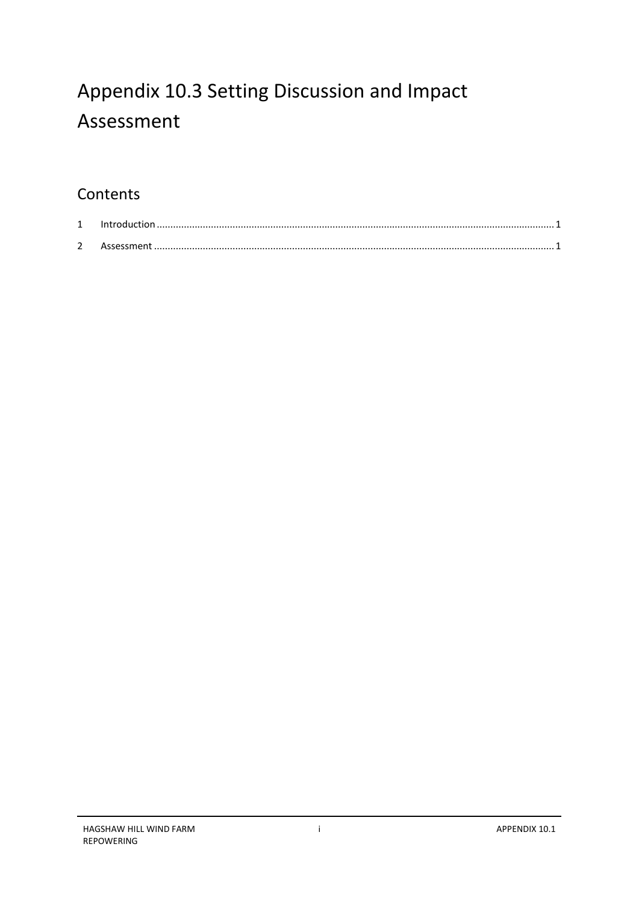# Appendix 10.3 Setting Discussion and Impact Assessment

# Contents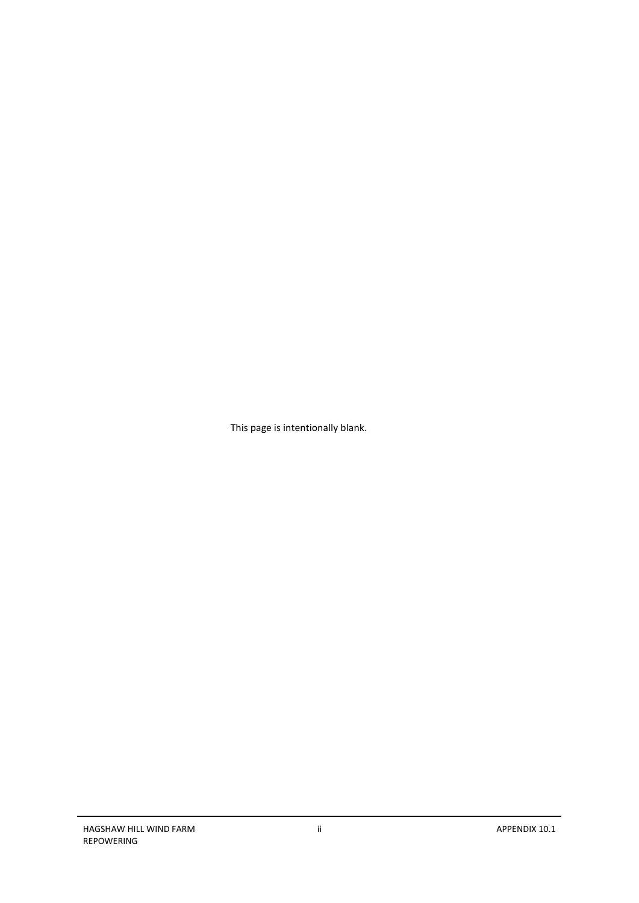This page is intentionally blank.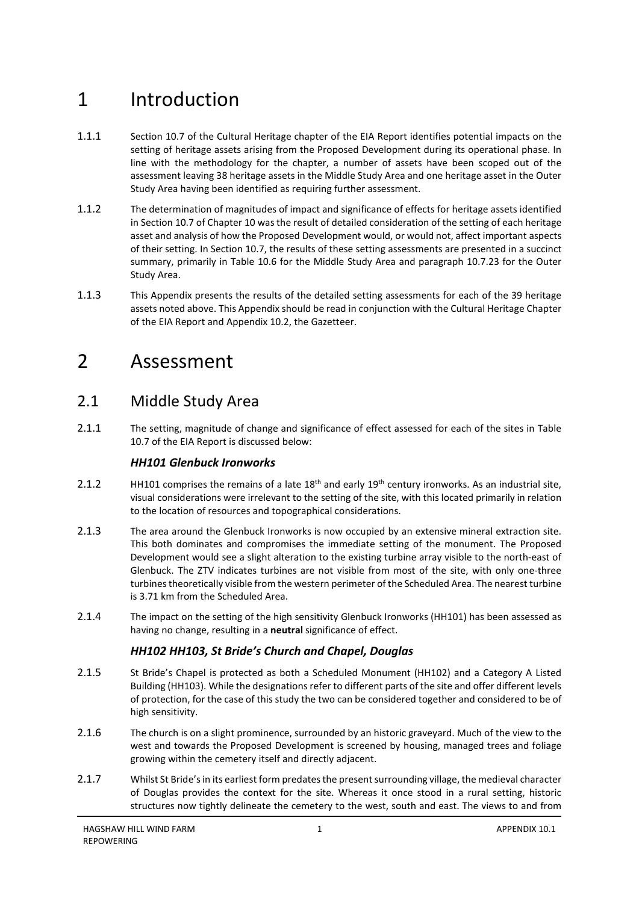# <span id="page-2-0"></span>1 Introduction

- 1.1.1 Section 10.7 of the Cultural Heritage chapter of the EIA Report identifies potential impacts on the setting of heritage assets arising from the Proposed Development during its operational phase. In line with the methodology for the chapter, a number of assets have been scoped out of the assessment leaving 38 heritage assets in the Middle Study Area and one heritage asset in the Outer Study Area having been identified as requiring further assessment.
- 1.1.2 The determination of magnitudes of impact and significance of effects for heritage assets identified in Section 10.7 of Chapter 10 was the result of detailed consideration of the setting of each heritage asset and analysis of how the Proposed Development would, or would not, affect important aspects of their setting. In Section 10.7, the results of these setting assessments are presented in a succinct summary, primarily in Table 10.6 for the Middle Study Area and paragraph 10.7.23 for the Outer Study Area.
- 1.1.3 This Appendix presents the results of the detailed setting assessments for each of the 39 heritage assets noted above. This Appendix should be read in conjunction with the Cultural Heritage Chapter of the EIA Report and Appendix 10.2, the Gazetteer.

# <span id="page-2-1"></span>2 Assessment

## 2.1 Middle Study Area

2.1.1 The setting, magnitude of change and significance of effect assessed for each of the sites in Table 10.7 of the EIA Report is discussed below:

## *HH101 Glenbuck Ironworks*

- 2.1.2 HH101 comprises the remains of a late  $18<sup>th</sup>$  and early 19<sup>th</sup> century ironworks. As an industrial site, visual considerations were irrelevant to the setting of the site, with this located primarily in relation to the location of resources and topographical considerations.
- 2.1.3 The area around the Glenbuck Ironworks is now occupied by an extensive mineral extraction site. This both dominates and compromises the immediate setting of the monument. The Proposed Development would see a slight alteration to the existing turbine array visible to the north-east of Glenbuck. The ZTV indicates turbines are not visible from most of the site, with only one-three turbines theoretically visible from the western perimeter of the Scheduled Area. The nearest turbine is 3.71 km from the Scheduled Area.
- 2.1.4 The impact on the setting of the high sensitivity Glenbuck Ironworks (HH101) has been assessed as having no change, resulting in a **neutral** significance of effect.

## *HH102 HH103, St Bride's Church and Chapel, Douglas*

- 2.1.5 St Bride's Chapel is protected as both a Scheduled Monument (HH102) and a Category A Listed Building (HH103). While the designations refer to different parts of the site and offer different levels of protection, for the case of this study the two can be considered together and considered to be of high sensitivity.
- 2.1.6 The church is on a slight prominence, surrounded by an historic graveyard. Much of the view to the west and towards the Proposed Development is screened by housing, managed trees and foliage growing within the cemetery itself and directly adjacent.
- 2.1.7 Whilst St Bride's in its earliest form predates the present surrounding village, the medieval character of Douglas provides the context for the site. Whereas it once stood in a rural setting, historic structures now tightly delineate the cemetery to the west, south and east. The views to and from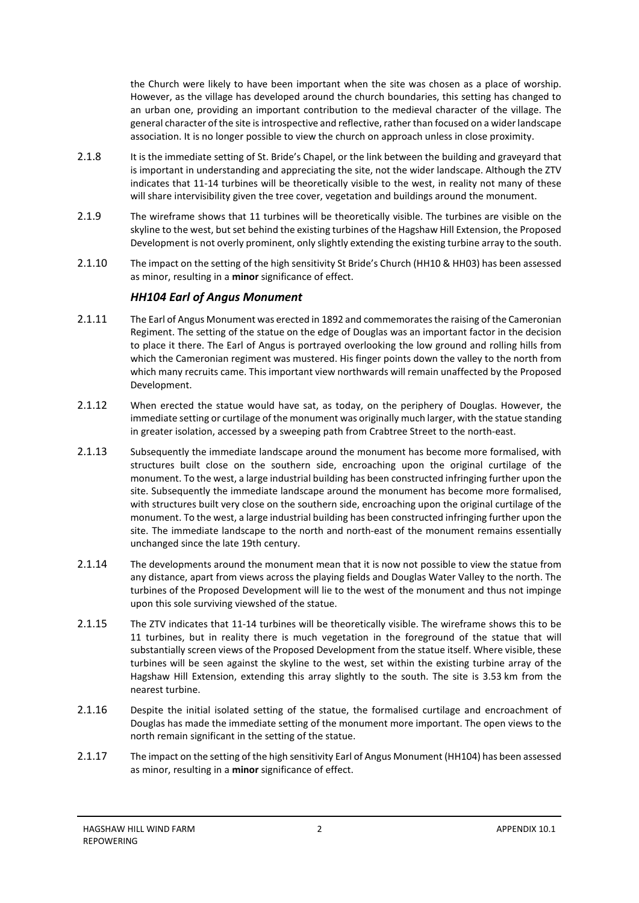the Church were likely to have been important when the site was chosen as a place of worship. However, as the village has developed around the church boundaries, this setting has changed to an urban one, providing an important contribution to the medieval character of the village. The general character of the site is introspective and reflective, rather than focused on a wider landscape association. It is no longer possible to view the church on approach unless in close proximity.

- 2.1.8 It is the immediate setting of St. Bride's Chapel, or the link between the building and graveyard that is important in understanding and appreciating the site, not the wider landscape. Although the ZTV indicates that 11-14 turbines will be theoretically visible to the west, in reality not many of these will share intervisibility given the tree cover, vegetation and buildings around the monument.
- 2.1.9 The wireframe shows that 11 turbines will be theoretically visible. The turbines are visible on the skyline to the west, but set behind the existing turbines of the Hagshaw Hill Extension, the Proposed Development is not overly prominent, only slightly extending the existing turbine array to the south.
- 2.1.10 The impact on the setting of the high sensitivity St Bride's Church (HH10 & HH03) has been assessed as minor, resulting in a **minor** significance of effect.

## *HH104 Earl of Angus Monument*

- 2.1.11 The Earl of Angus Monument was erected in 1892 and commemorates the raising of the Cameronian Regiment. The setting of the statue on the edge of Douglas was an important factor in the decision to place it there. The Earl of Angus is portrayed overlooking the low ground and rolling hills from which the Cameronian regiment was mustered. His finger points down the valley to the north from which many recruits came. This important view northwards will remain unaffected by the Proposed Development.
- 2.1.12 When erected the statue would have sat, as today, on the periphery of Douglas. However, the immediate setting or curtilage of the monument was originally much larger, with the statue standing in greater isolation, accessed by a sweeping path from Crabtree Street to the north-east.
- 2.1.13 Subsequently the immediate landscape around the monument has become more formalised, with structures built close on the southern side, encroaching upon the original curtilage of the monument. To the west, a large industrial building has been constructed infringing further upon the site. Subsequently the immediate landscape around the monument has become more formalised, with structures built very close on the southern side, encroaching upon the original curtilage of the monument. To the west, a large industrial building has been constructed infringing further upon the site. The immediate landscape to the north and north-east of the monument remains essentially unchanged since the late 19th century.
- 2.1.14 The developments around the monument mean that it is now not possible to view the statue from any distance, apart from views across the playing fields and Douglas Water Valley to the north. The turbines of the Proposed Development will lie to the west of the monument and thus not impinge upon this sole surviving viewshed of the statue.
- 2.1.15 The ZTV indicates that 11-14 turbines will be theoretically visible. The wireframe shows this to be 11 turbines, but in reality there is much vegetation in the foreground of the statue that will substantially screen views of the Proposed Development from the statue itself. Where visible, these turbines will be seen against the skyline to the west, set within the existing turbine array of the Hagshaw Hill Extension, extending this array slightly to the south. The site is 3.53 km from the nearest turbine.
- 2.1.16 Despite the initial isolated setting of the statue, the formalised curtilage and encroachment of Douglas has made the immediate setting of the monument more important. The open views to the north remain significant in the setting of the statue.
- 2.1.17 The impact on the setting of the high sensitivity Earl of Angus Monument (HH104) has been assessed as minor, resulting in a **minor** significance of effect.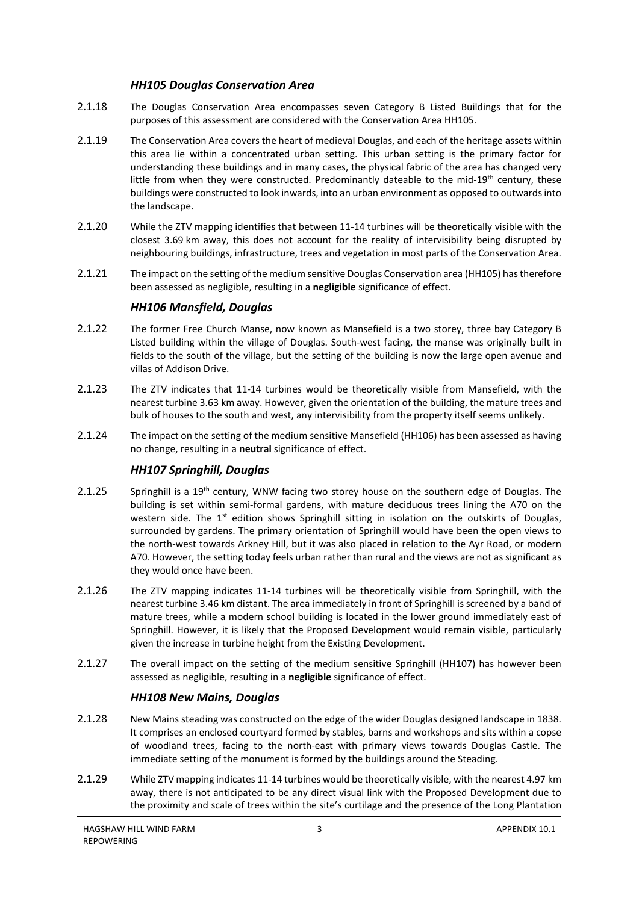## *HH105 Douglas Conservation Area*

- 2.1.18 The Douglas Conservation Area encompasses seven Category B Listed Buildings that for the purposes of this assessment are considered with the Conservation Area HH105.
- 2.1.19 The Conservation Area covers the heart of medieval Douglas, and each of the heritage assets within this area lie within a concentrated urban setting. This urban setting is the primary factor for understanding these buildings and in many cases, the physical fabric of the area has changed very little from when they were constructed. Predominantly dateable to the mid-19<sup>th</sup> century, these buildings were constructed to look inwards, into an urban environment as opposed to outwards into the landscape.
- 2.1.20 While the ZTV mapping identifies that between 11-14 turbines will be theoretically visible with the closest 3.69 km away, this does not account for the reality of intervisibility being disrupted by neighbouring buildings, infrastructure, trees and vegetation in most parts of the Conservation Area.
- 2.1.21 The impact on the setting of the medium sensitive Douglas Conservation area (HH105) has therefore been assessed as negligible, resulting in a **negligible** significance of effect.

## *HH106 Mansfield, Douglas*

- 2.1.22 The former Free Church Manse, now known as Mansefield is a two storey, three bay Category B Listed building within the village of Douglas. South-west facing, the manse was originally built in fields to the south of the village, but the setting of the building is now the large open avenue and villas of Addison Drive.
- 2.1.23 The ZTV indicates that 11-14 turbines would be theoretically visible from Mansefield, with the nearest turbine 3.63 km away. However, given the orientation of the building, the mature trees and bulk of houses to the south and west, any intervisibility from the property itself seems unlikely.
- 2.1.24 The impact on the setting of the medium sensitive Mansefield (HH106) has been assessed as having no change, resulting in a **neutral** significance of effect.

## *HH107 Springhill, Douglas*

- 2.1.25 Springhill is a 19<sup>th</sup> century, WNW facing two storey house on the southern edge of Douglas. The building is set within semi-formal gardens, with mature deciduous trees lining the A70 on the western side. The  $1<sup>st</sup>$  edition shows Springhill sitting in isolation on the outskirts of Douglas, surrounded by gardens. The primary orientation of Springhill would have been the open views to the north-west towards Arkney Hill, but it was also placed in relation to the Ayr Road, or modern A70. However, the setting today feels urban rather than rural and the views are not as significant as they would once have been.
- 2.1.26 The ZTV mapping indicates 11-14 turbines will be theoretically visible from Springhill, with the nearest turbine 3.46 km distant. The area immediately in front of Springhill is screened by a band of mature trees, while a modern school building is located in the lower ground immediately east of Springhill. However, it is likely that the Proposed Development would remain visible, particularly given the increase in turbine height from the Existing Development.
- 2.1.27 The overall impact on the setting of the medium sensitive Springhill (HH107) has however been assessed as negligible, resulting in a **negligible** significance of effect.

## *HH108 New Mains, Douglas*

- 2.1.28 New Mains steading was constructed on the edge of the wider Douglas designed landscape in 1838. It comprises an enclosed courtyard formed by stables, barns and workshops and sits within a copse of woodland trees, facing to the north-east with primary views towards Douglas Castle. The immediate setting of the monument is formed by the buildings around the Steading.
- 2.1.29 While ZTV mapping indicates 11-14 turbines would be theoretically visible, with the nearest 4.97 km away, there is not anticipated to be any direct visual link with the Proposed Development due to the proximity and scale of trees within the site's curtilage and the presence of the Long Plantation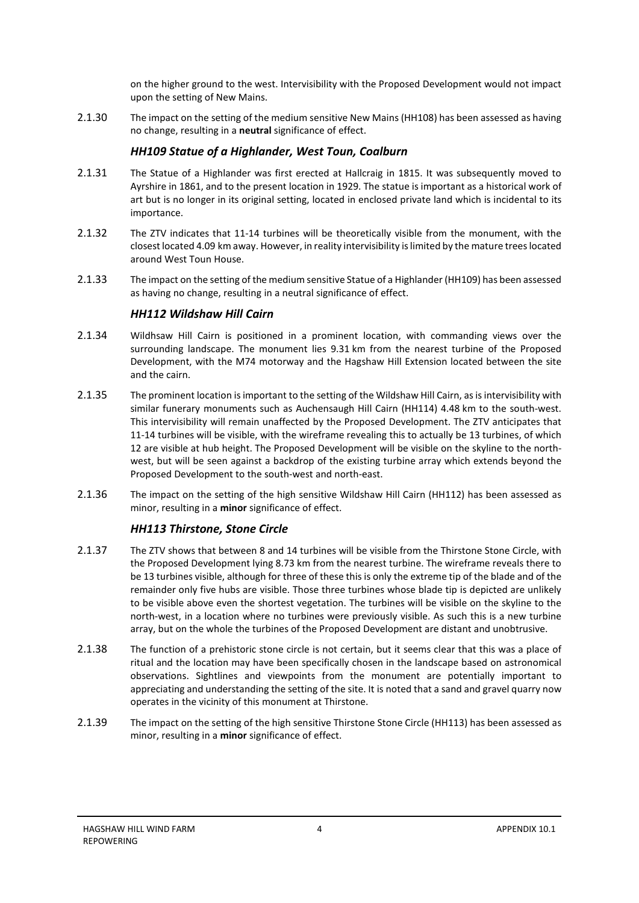on the higher ground to the west. Intervisibility with the Proposed Development would not impact upon the setting of New Mains.

2.1.30 The impact on the setting of the medium sensitive New Mains (HH108) has been assessed as having no change, resulting in a **neutral** significance of effect.

## *HH109 Statue of a Highlander, West Toun, Coalburn*

- 2.1.31 The Statue of a Highlander was first erected at Hallcraig in 1815. It was subsequently moved to Ayrshire in 1861, and to the present location in 1929. The statue is important as a historical work of art but is no longer in its original setting, located in enclosed private land which is incidental to its importance.
- 2.1.32 The ZTV indicates that 11-14 turbines will be theoretically visible from the monument, with the closest located 4.09 km away. However, in reality intervisibility is limited by the mature trees located around West Toun House.
- 2.1.33 The impact on the setting of the medium sensitive Statue of a Highlander (HH109) has been assessed as having no change, resulting in a neutral significance of effect.

## *HH112 Wildshaw Hill Cairn*

- 2.1.34 Wildhsaw Hill Cairn is positioned in a prominent location, with commanding views over the surrounding landscape. The monument lies 9.31 km from the nearest turbine of the Proposed Development, with the M74 motorway and the Hagshaw Hill Extension located between the site and the cairn.
- 2.1.35 The prominent location is important to the setting of the Wildshaw Hill Cairn, as is intervisibility with similar funerary monuments such as Auchensaugh Hill Cairn (HH114) 4.48 km to the south-west. This intervisibility will remain unaffected by the Proposed Development. The ZTV anticipates that 11-14 turbines will be visible, with the wireframe revealing this to actually be 13 turbines, of which 12 are visible at hub height. The Proposed Development will be visible on the skyline to the northwest, but will be seen against a backdrop of the existing turbine array which extends beyond the Proposed Development to the south-west and north-east.
- 2.1.36 The impact on the setting of the high sensitive Wildshaw Hill Cairn (HH112) has been assessed as minor, resulting in a **minor** significance of effect.

## *HH113 Thirstone, Stone Circle*

- 2.1.37 The ZTV shows that between 8 and 14 turbines will be visible from the Thirstone Stone Circle, with the Proposed Development lying 8.73 km from the nearest turbine. The wireframe reveals there to be 13 turbines visible, although for three of these this is only the extreme tip of the blade and of the remainder only five hubs are visible. Those three turbines whose blade tip is depicted are unlikely to be visible above even the shortest vegetation. The turbines will be visible on the skyline to the north-west, in a location where no turbines were previously visible. As such this is a new turbine array, but on the whole the turbines of the Proposed Development are distant and unobtrusive.
- 2.1.38 The function of a prehistoric stone circle is not certain, but it seems clear that this was a place of ritual and the location may have been specifically chosen in the landscape based on astronomical observations. Sightlines and viewpoints from the monument are potentially important to appreciating and understanding the setting of the site. It is noted that a sand and gravel quarry now operates in the vicinity of this monument at Thirstone.
- 2.1.39 The impact on the setting of the high sensitive Thirstone Stone Circle (HH113) has been assessed as minor, resulting in a **minor** significance of effect.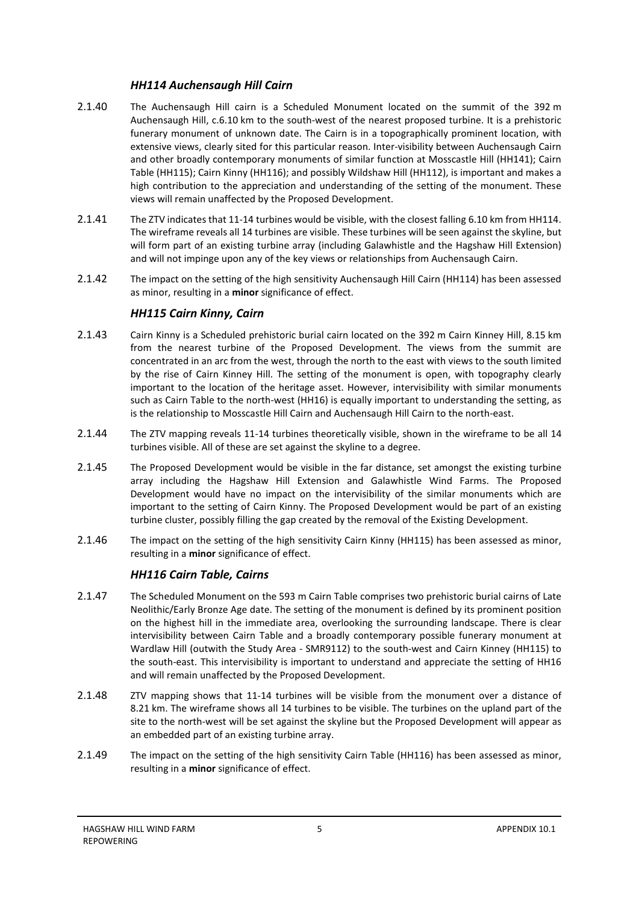## *HH114 Auchensaugh Hill Cairn*

- 2.1.40 The Auchensaugh Hill cairn is a Scheduled Monument located on the summit of the 392 m Auchensaugh Hill, c.6.10 km to the south-west of the nearest proposed turbine. It is a prehistoric funerary monument of unknown date. The Cairn is in a topographically prominent location, with extensive views, clearly sited for this particular reason. Inter-visibility between Auchensaugh Cairn and other broadly contemporary monuments of similar function at Mosscastle Hill (HH141); Cairn Table (HH115); Cairn Kinny (HH116); and possibly Wildshaw Hill (HH112), is important and makes a high contribution to the appreciation and understanding of the setting of the monument. These views will remain unaffected by the Proposed Development.
- 2.1.41 The ZTV indicates that 11-14 turbines would be visible, with the closest falling 6.10 km from HH114. The wireframe reveals all 14 turbines are visible. These turbines will be seen against the skyline, but will form part of an existing turbine array (including Galawhistle and the Hagshaw Hill Extension) and will not impinge upon any of the key views or relationships from Auchensaugh Cairn.
- 2.1.42 The impact on the setting of the high sensitivity Auchensaugh Hill Cairn (HH114) has been assessed as minor, resulting in a **minor** significance of effect.

## *HH115 Cairn Kinny, Cairn*

- 2.1.43 Cairn Kinny is a Scheduled prehistoric burial cairn located on the 392 m Cairn Kinney Hill, 8.15 km from the nearest turbine of the Proposed Development. The views from the summit are concentrated in an arc from the west, through the north to the east with views to the south limited by the rise of Cairn Kinney Hill. The setting of the monument is open, with topography clearly important to the location of the heritage asset. However, intervisibility with similar monuments such as Cairn Table to the north-west (HH16) is equally important to understanding the setting, as is the relationship to Mosscastle Hill Cairn and Auchensaugh Hill Cairn to the north-east.
- 2.1.44 The ZTV mapping reveals 11-14 turbines theoretically visible, shown in the wireframe to be all 14 turbines visible. All of these are set against the skyline to a degree.
- 2.1.45 The Proposed Development would be visible in the far distance, set amongst the existing turbine array including the Hagshaw Hill Extension and Galawhistle Wind Farms. The Proposed Development would have no impact on the intervisibility of the similar monuments which are important to the setting of Cairn Kinny. The Proposed Development would be part of an existing turbine cluster, possibly filling the gap created by the removal of the Existing Development.
- 2.1.46 The impact on the setting of the high sensitivity Cairn Kinny (HH115) has been assessed as minor, resulting in a **minor** significance of effect.

## *HH116 Cairn Table, Cairns*

- 2.1.47 The Scheduled Monument on the 593 m Cairn Table comprises two prehistoric burial cairns of Late Neolithic/Early Bronze Age date. The setting of the monument is defined by its prominent position on the highest hill in the immediate area, overlooking the surrounding landscape. There is clear intervisibility between Cairn Table and a broadly contemporary possible funerary monument at Wardlaw Hill (outwith the Study Area - SMR9112) to the south-west and Cairn Kinney (HH115) to the south-east. This intervisibility is important to understand and appreciate the setting of HH16 and will remain unaffected by the Proposed Development.
- 2.1.48 ZTV mapping shows that 11-14 turbines will be visible from the monument over a distance of 8.21 km. The wireframe shows all 14 turbines to be visible. The turbines on the upland part of the site to the north-west will be set against the skyline but the Proposed Development will appear as an embedded part of an existing turbine array.
- 2.1.49 The impact on the setting of the high sensitivity Cairn Table (HH116) has been assessed as minor, resulting in a **minor** significance of effect.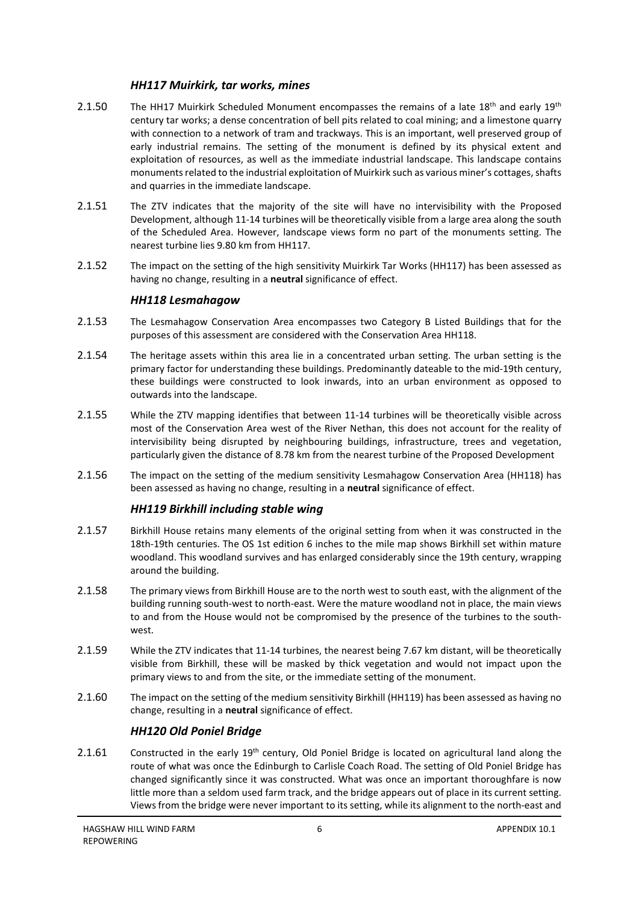#### *HH117 Muirkirk, tar works, mines*

- 2.1.50 The HH17 Muirkirk Scheduled Monument encompasses the remains of a late  $18<sup>th</sup>$  and early  $19<sup>th</sup>$ century tar works; a dense concentration of bell pits related to coal mining; and a limestone quarry with connection to a network of tram and trackways. This is an important, well preserved group of early industrial remains. The setting of the monument is defined by its physical extent and exploitation of resources, as well as the immediate industrial landscape. This landscape contains monuments related to the industrial exploitation of Muirkirk such as various miner's cottages, shafts and quarries in the immediate landscape.
- 2.1.51 The ZTV indicates that the majority of the site will have no intervisibility with the Proposed Development, although 11-14 turbines will be theoretically visible from a large area along the south of the Scheduled Area. However, landscape views form no part of the monuments setting. The nearest turbine lies 9.80 km from HH117.
- 2.1.52 The impact on the setting of the high sensitivity Muirkirk Tar Works (HH117) has been assessed as having no change, resulting in a **neutral** significance of effect.

#### *HH118 Lesmahagow*

- 2.1.53 The Lesmahagow Conservation Area encompasses two Category B Listed Buildings that for the purposes of this assessment are considered with the Conservation Area HH118.
- 2.1.54 The heritage assets within this area lie in a concentrated urban setting. The urban setting is the primary factor for understanding these buildings. Predominantly dateable to the mid-19th century, these buildings were constructed to look inwards, into an urban environment as opposed to outwards into the landscape.
- 2.1.55 While the ZTV mapping identifies that between 11-14 turbines will be theoretically visible across most of the Conservation Area west of the River Nethan, this does not account for the reality of intervisibility being disrupted by neighbouring buildings, infrastructure, trees and vegetation, particularly given the distance of 8.78 km from the nearest turbine of the Proposed Development
- 2.1.56 The impact on the setting of the medium sensitivity Lesmahagow Conservation Area (HH118) has been assessed as having no change, resulting in a **neutral** significance of effect.

## *HH119 Birkhill including stable wing*

- 2.1.57 Birkhill House retains many elements of the original setting from when it was constructed in the 18th-19th centuries. The OS 1st edition 6 inches to the mile map shows Birkhill set within mature woodland. This woodland survives and has enlarged considerably since the 19th century, wrapping around the building.
- 2.1.58 The primary views from Birkhill House are to the north west to south east, with the alignment of the building running south-west to north-east. Were the mature woodland not in place, the main views to and from the House would not be compromised by the presence of the turbines to the southwest.
- 2.1.59 While the ZTV indicates that 11-14 turbines, the nearest being 7.67 km distant, will be theoretically visible from Birkhill, these will be masked by thick vegetation and would not impact upon the primary views to and from the site, or the immediate setting of the monument.
- 2.1.60 The impact on the setting of the medium sensitivity Birkhill (HH119) has been assessed as having no change, resulting in a **neutral** significance of effect.

## *HH120 Old Poniel Bridge*

2.1.61 Constructed in the early 19<sup>th</sup> century, Old Poniel Bridge is located on agricultural land along the route of what was once the Edinburgh to Carlisle Coach Road. The setting of Old Poniel Bridge has changed significantly since it was constructed. What was once an important thoroughfare is now little more than a seldom used farm track, and the bridge appears out of place in its current setting. Views from the bridge were never important to its setting, while its alignment to the north-east and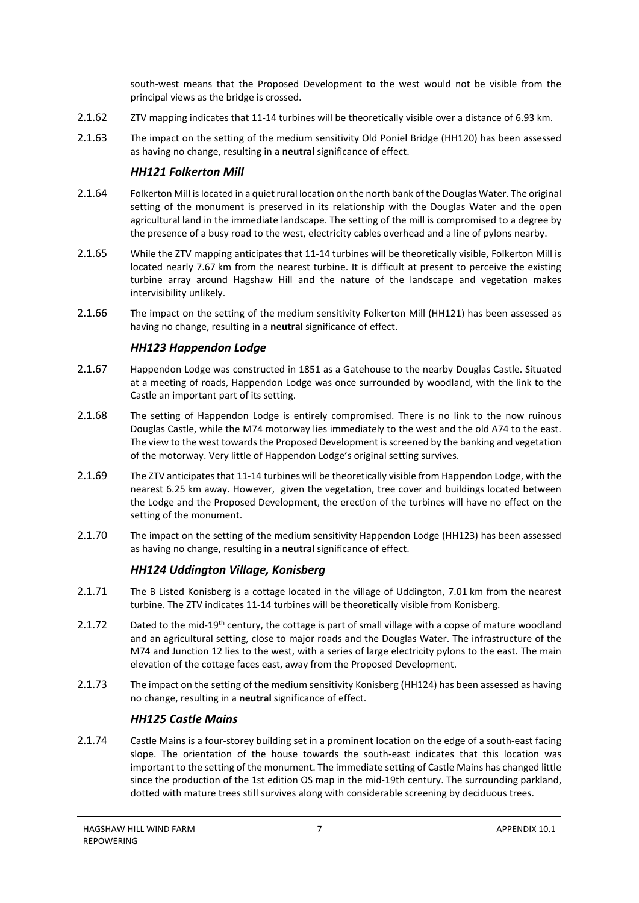south-west means that the Proposed Development to the west would not be visible from the principal views as the bridge is crossed.

- 2.1.62 ZTV mapping indicates that 11-14 turbines will be theoretically visible over a distance of 6.93 km.
- 2.1.63 The impact on the setting of the medium sensitivity Old Poniel Bridge (HH120) has been assessed as having no change, resulting in a **neutral** significance of effect.

## *HH121 Folkerton Mill*

- 2.1.64 Folkerton Mill is located in a quiet rural location on the north bank of the Douglas Water. The original setting of the monument is preserved in its relationship with the Douglas Water and the open agricultural land in the immediate landscape. The setting of the mill is compromised to a degree by the presence of a busy road to the west, electricity cables overhead and a line of pylons nearby.
- 2.1.65 While the ZTV mapping anticipates that 11-14 turbines will be theoretically visible, Folkerton Mill is located nearly 7.67 km from the nearest turbine. It is difficult at present to perceive the existing turbine array around Hagshaw Hill and the nature of the landscape and vegetation makes intervisibility unlikely.
- 2.1.66 The impact on the setting of the medium sensitivity Folkerton Mill (HH121) has been assessed as having no change, resulting in a **neutral** significance of effect.

## *HH123 Happendon Lodge*

- 2.1.67 Happendon Lodge was constructed in 1851 as a Gatehouse to the nearby Douglas Castle. Situated at a meeting of roads, Happendon Lodge was once surrounded by woodland, with the link to the Castle an important part of its setting.
- 2.1.68 The setting of Happendon Lodge is entirely compromised. There is no link to the now ruinous Douglas Castle, while the M74 motorway lies immediately to the west and the old A74 to the east. The view to the west towards the Proposed Development is screened by the banking and vegetation of the motorway. Very little of Happendon Lodge's original setting survives.
- 2.1.69 The ZTV anticipates that 11-14 turbines will be theoretically visible from Happendon Lodge, with the nearest 6.25 km away. However, given the vegetation, tree cover and buildings located between the Lodge and the Proposed Development, the erection of the turbines will have no effect on the setting of the monument.
- 2.1.70 The impact on the setting of the medium sensitivity Happendon Lodge (HH123) has been assessed as having no change, resulting in a **neutral** significance of effect.

## *HH124 Uddington Village, Konisberg*

- 2.1.71 The B Listed Konisberg is a cottage located in the village of Uddington, 7.01 km from the nearest turbine. The ZTV indicates 11-14 turbines will be theoretically visible from Konisberg.
- 2.1.72 Dated to the mid-19<sup>th</sup> century, the cottage is part of small village with a copse of mature woodland and an agricultural setting, close to major roads and the Douglas Water. The infrastructure of the M74 and Junction 12 lies to the west, with a series of large electricity pylons to the east. The main elevation of the cottage faces east, away from the Proposed Development.
- 2.1.73 The impact on the setting of the medium sensitivity Konisberg (HH124) has been assessed as having no change, resulting in a **neutral** significance of effect.

## *HH125 Castle Mains*

2.1.74 Castle Mains is a four-storey building set in a prominent location on the edge of a south-east facing slope. The orientation of the house towards the south-east indicates that this location was important to the setting of the monument. The immediate setting of Castle Mains has changed little since the production of the 1st edition OS map in the mid-19th century. The surrounding parkland, dotted with mature trees still survives along with considerable screening by deciduous trees.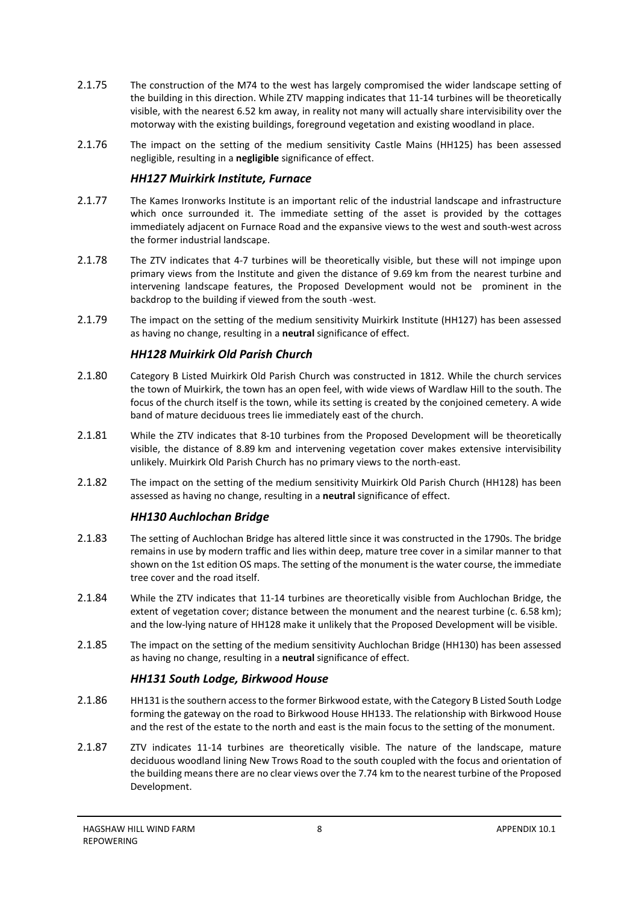- 2.1.75 The construction of the M74 to the west has largely compromised the wider landscape setting of the building in this direction. While ZTV mapping indicates that 11-14 turbines will be theoretically visible, with the nearest 6.52 km away, in reality not many will actually share intervisibility over the motorway with the existing buildings, foreground vegetation and existing woodland in place.
- 2.1.76 The impact on the setting of the medium sensitivity Castle Mains (HH125) has been assessed negligible, resulting in a **negligible** significance of effect.

## *HH127 Muirkirk Institute, Furnace*

- 2.1.77 The Kames Ironworks Institute is an important relic of the industrial landscape and infrastructure which once surrounded it. The immediate setting of the asset is provided by the cottages immediately adjacent on Furnace Road and the expansive views to the west and south-west across the former industrial landscape.
- 2.1.78 The ZTV indicates that 4-7 turbines will be theoretically visible, but these will not impinge upon primary views from the Institute and given the distance of 9.69 km from the nearest turbine and intervening landscape features, the Proposed Development would not be prominent in the backdrop to the building if viewed from the south -west.
- 2.1.79 The impact on the setting of the medium sensitivity Muirkirk Institute (HH127) has been assessed as having no change, resulting in a **neutral** significance of effect.

## *HH128 Muirkirk Old Parish Church*

- 2.1.80 Category B Listed Muirkirk Old Parish Church was constructed in 1812. While the church services the town of Muirkirk, the town has an open feel, with wide views of Wardlaw Hill to the south. The focus of the church itself is the town, while its setting is created by the conjoined cemetery. A wide band of mature deciduous trees lie immediately east of the church.
- 2.1.81 While the ZTV indicates that 8-10 turbines from the Proposed Development will be theoretically visible, the distance of 8.89 km and intervening vegetation cover makes extensive intervisibility unlikely. Muirkirk Old Parish Church has no primary views to the north-east.
- 2.1.82 The impact on the setting of the medium sensitivity Muirkirk Old Parish Church (HH128) has been assessed as having no change, resulting in a **neutral** significance of effect.

## *HH130 Auchlochan Bridge*

- 2.1.83 The setting of Auchlochan Bridge has altered little since it was constructed in the 1790s. The bridge remains in use by modern traffic and lies within deep, mature tree cover in a similar manner to that shown on the 1st edition OS maps. The setting of the monument is the water course, the immediate tree cover and the road itself.
- 2.1.84 While the ZTV indicates that 11-14 turbines are theoretically visible from Auchlochan Bridge, the extent of vegetation cover; distance between the monument and the nearest turbine (c. 6.58 km); and the low-lying nature of HH128 make it unlikely that the Proposed Development will be visible.
- 2.1.85 The impact on the setting of the medium sensitivity Auchlochan Bridge (HH130) has been assessed as having no change, resulting in a **neutral** significance of effect.

## *HH131 South Lodge, Birkwood House*

- 2.1.86 HH131 is the southern access to the former Birkwood estate, with the Category B Listed South Lodge forming the gateway on the road to Birkwood House HH133. The relationship with Birkwood House and the rest of the estate to the north and east is the main focus to the setting of the monument.
- 2.1.87 ZTV indicates 11-14 turbines are theoretically visible. The nature of the landscape, mature deciduous woodland lining New Trows Road to the south coupled with the focus and orientation of the building means there are no clear views over the 7.74 km to the nearest turbine of the Proposed Development.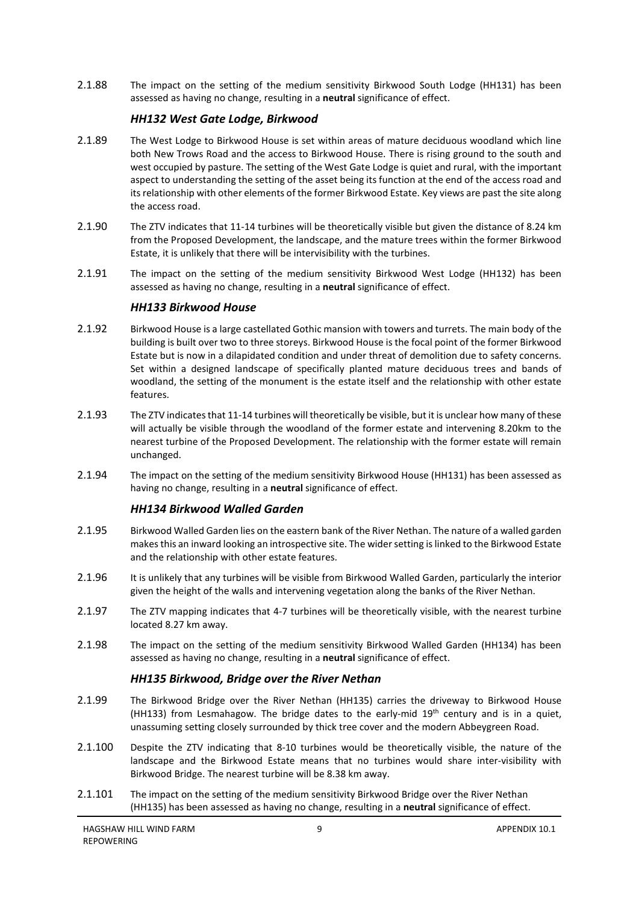2.1.88 The impact on the setting of the medium sensitivity Birkwood South Lodge (HH131) has been assessed as having no change, resulting in a **neutral** significance of effect.

## *HH132 West Gate Lodge, Birkwood*

- 2.1.89 The West Lodge to Birkwood House is set within areas of mature deciduous woodland which line both New Trows Road and the access to Birkwood House. There is rising ground to the south and west occupied by pasture. The setting of the West Gate Lodge is quiet and rural, with the important aspect to understanding the setting of the asset being its function at the end of the access road and its relationship with other elements of the former Birkwood Estate. Key views are past the site along the access road.
- 2.1.90 The ZTV indicates that 11-14 turbines will be theoretically visible but given the distance of 8.24 km from the Proposed Development, the landscape, and the mature trees within the former Birkwood Estate, it is unlikely that there will be intervisibility with the turbines.
- 2.1.91 The impact on the setting of the medium sensitivity Birkwood West Lodge (HH132) has been assessed as having no change, resulting in a **neutral** significance of effect.

#### *HH133 Birkwood House*

- 2.1.92 Birkwood House is a large castellated Gothic mansion with towers and turrets. The main body of the building is built over two to three storeys. Birkwood House is the focal point of the former Birkwood Estate but is now in a dilapidated condition and under threat of demolition due to safety concerns. Set within a designed landscape of specifically planted mature deciduous trees and bands of woodland, the setting of the monument is the estate itself and the relationship with other estate features.
- 2.1.93 The ZTV indicates that 11-14 turbines will theoretically be visible, but it is unclear how many of these will actually be visible through the woodland of the former estate and intervening 8.20km to the nearest turbine of the Proposed Development. The relationship with the former estate will remain unchanged.
- 2.1.94 The impact on the setting of the medium sensitivity Birkwood House (HH131) has been assessed as having no change, resulting in a **neutral** significance of effect.

## *HH134 Birkwood Walled Garden*

- 2.1.95 Birkwood Walled Garden lies on the eastern bank of the River Nethan. The nature of a walled garden makes this an inward looking an introspective site. The wider setting is linked to the Birkwood Estate and the relationship with other estate features.
- 2.1.96 It is unlikely that any turbines will be visible from Birkwood Walled Garden, particularly the interior given the height of the walls and intervening vegetation along the banks of the River Nethan.
- 2.1.97 The ZTV mapping indicates that 4-7 turbines will be theoretically visible, with the nearest turbine located 8.27 km away.
- 2.1.98 The impact on the setting of the medium sensitivity Birkwood Walled Garden (HH134) has been assessed as having no change, resulting in a **neutral** significance of effect.

## *HH135 Birkwood, Bridge over the River Nethan*

- 2.1.99 The Birkwood Bridge over the River Nethan (HH135) carries the driveway to Birkwood House (HH133) from Lesmahagow. The bridge dates to the early-mid  $19<sup>th</sup>$  century and is in a quiet, unassuming setting closely surrounded by thick tree cover and the modern Abbeygreen Road.
- 2.1.100 Despite the ZTV indicating that 8-10 turbines would be theoretically visible, the nature of the landscape and the Birkwood Estate means that no turbines would share inter-visibility with Birkwood Bridge. The nearest turbine will be 8.38 km away.
- 2.1.101 The impact on the setting of the medium sensitivity Birkwood Bridge over the River Nethan (HH135) has been assessed as having no change, resulting in a **neutral** significance of effect.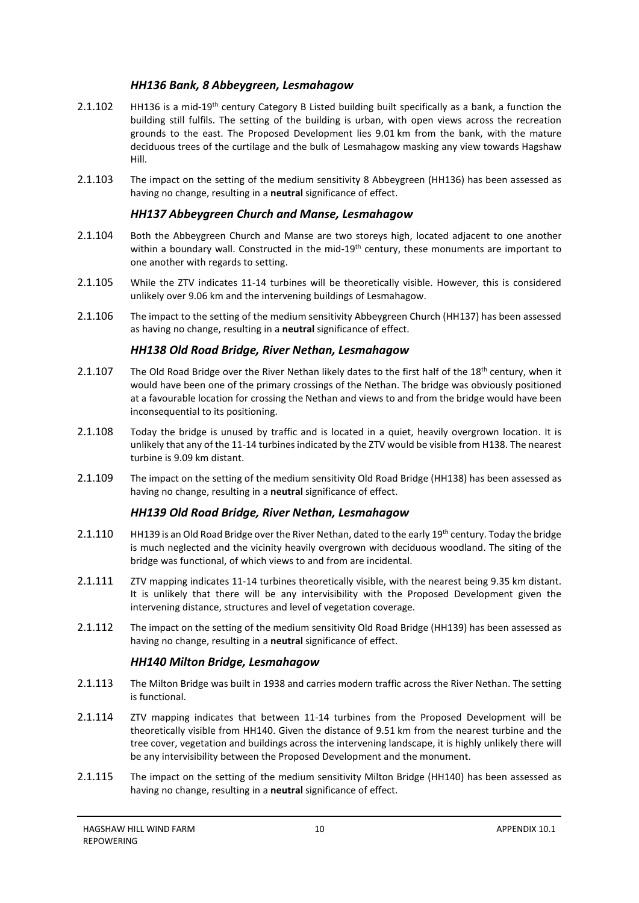## *HH136 Bank, 8 Abbeygreen, Lesmahagow*

- 2.1.102 HH136 is a mid-19<sup>th</sup> century Category B Listed building built specifically as a bank, a function the building still fulfils. The setting of the building is urban, with open views across the recreation grounds to the east. The Proposed Development lies 9.01 km from the bank, with the mature deciduous trees of the curtilage and the bulk of Lesmahagow masking any view towards Hagshaw Hill.
- 2.1.103 The impact on the setting of the medium sensitivity 8 Abbeygreen (HH136) has been assessed as having no change, resulting in a **neutral** significance of effect.

#### *HH137 Abbeygreen Church and Manse, Lesmahagow*

- 2.1.104 Both the Abbeygreen Church and Manse are two storeys high, located adjacent to one another within a boundary wall. Constructed in the mid-19<sup>th</sup> century, these monuments are important to one another with regards to setting.
- 2.1.105 While the ZTV indicates 11-14 turbines will be theoretically visible. However, this is considered unlikely over 9.06 km and the intervening buildings of Lesmahagow.
- 2.1.106 The impact to the setting of the medium sensitivity Abbeygreen Church (HH137) has been assessed as having no change, resulting in a **neutral** significance of effect.

#### *HH138 Old Road Bridge, River Nethan, Lesmahagow*

- 2.1.107 The Old Road Bridge over the River Nethan likely dates to the first half of the 18<sup>th</sup> century, when it would have been one of the primary crossings of the Nethan. The bridge was obviously positioned at a favourable location for crossing the Nethan and views to and from the bridge would have been inconsequential to its positioning.
- 2.1.108 Today the bridge is unused by traffic and is located in a quiet, heavily overgrown location. It is unlikely that any of the 11-14 turbines indicated by the ZTV would be visible from H138. The nearest turbine is 9.09 km distant.
- 2.1.109 The impact on the setting of the medium sensitivity Old Road Bridge (HH138) has been assessed as having no change, resulting in a **neutral** significance of effect.

#### *HH139 Old Road Bridge, River Nethan, Lesmahagow*

- 2.1.110 HH139 is an Old Road Bridge over the River Nethan, dated to the early 19<sup>th</sup> century. Today the bridge is much neglected and the vicinity heavily overgrown with deciduous woodland. The siting of the bridge was functional, of which views to and from are incidental.
- 2.1.111 ZTV mapping indicates 11-14 turbines theoretically visible, with the nearest being 9.35 km distant. It is unlikely that there will be any intervisibility with the Proposed Development given the intervening distance, structures and level of vegetation coverage.
- 2.1.112 The impact on the setting of the medium sensitivity Old Road Bridge (HH139) has been assessed as having no change, resulting in a **neutral** significance of effect.

#### *HH140 Milton Bridge, Lesmahagow*

- 2.1.113 The Milton Bridge was built in 1938 and carries modern traffic across the River Nethan. The setting is functional.
- 2.1.114 ZTV mapping indicates that between 11-14 turbines from the Proposed Development will be theoretically visible from HH140. Given the distance of 9.51 km from the nearest turbine and the tree cover, vegetation and buildings across the intervening landscape, it is highly unlikely there will be any intervisibility between the Proposed Development and the monument.
- 2.1.115 The impact on the setting of the medium sensitivity Milton Bridge (HH140) has been assessed as having no change, resulting in a **neutral** significance of effect.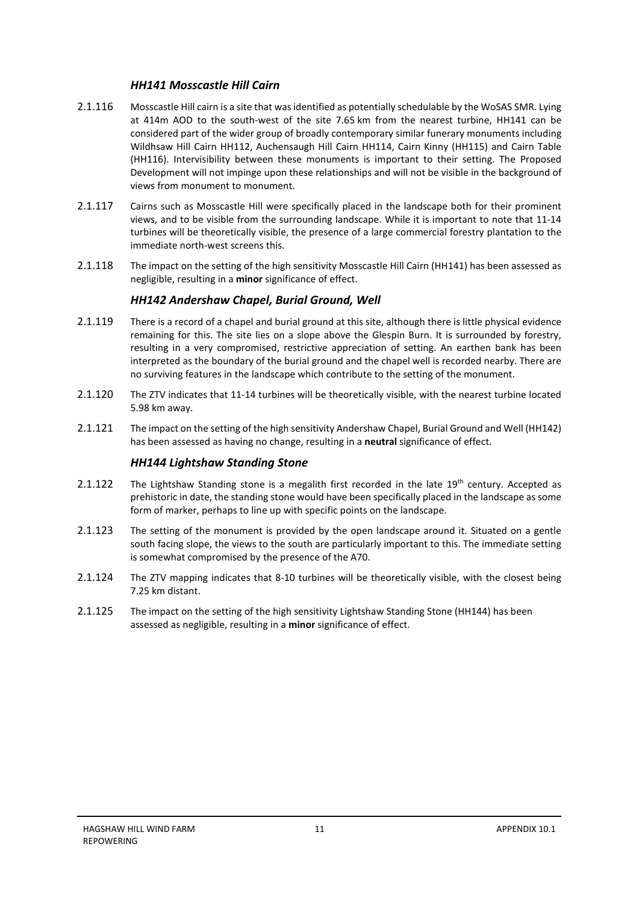## *HH141 Mosscastle Hill Cairn*

- 2.1.116 Mosscastle Hill cairn is a site that was identified as potentially schedulable by the WoSAS SMR. Lying at 414m AOD to the south-west of the site 7.65 km from the nearest turbine, HH141 can be considered part of the wider group of broadly contemporary similar funerary monuments including Wildhsaw Hill Cairn HH112, Auchensaugh Hill Cairn HH114, Cairn Kinny (HH115) and Cairn Table (HH116). Intervisibility between these monuments is important to their setting. The Proposed Development will not impinge upon these relationships and will not be visible in the background of views from monument to monument.
- 2.1.117 Cairns such as Mosscastle Hill were specifically placed in the landscape both for their prominent views, and to be visible from the surrounding landscape. While it is important to note that 11-14 turbines will be theoretically visible, the presence of a large commercial forestry plantation to the immediate north-west screens this.
- 2.1.118 The impact on the setting of the high sensitivity Mosscastle Hill Cairn (HH141) has been assessed as negligible, resulting in a **minor** significance of effect.

## *HH142 Andershaw Chapel, Burial Ground, Well*

- 2.1.119 There is a record of a chapel and burial ground at this site, although there is little physical evidence remaining for this. The site lies on a slope above the Glespin Burn. It is surrounded by forestry, resulting in a very compromised, restrictive appreciation of setting. An earthen bank has been interpreted as the boundary of the burial ground and the chapel well is recorded nearby. There are no surviving features in the landscape which contribute to the setting of the monument.
- 2.1.120 The ZTV indicates that 11-14 turbines will be theoretically visible, with the nearest turbine located 5.98 km away.
- 2.1.121 The impact on the setting of the high sensitivity Andershaw Chapel, Burial Ground and Well (HH142) has been assessed as having no change, resulting in a **neutral** significance of effect.

## *HH144 Lightshaw Standing Stone*

- 2.1.122 The Lightshaw Standing stone is a megalith first recorded in the late  $19<sup>th</sup>$  century. Accepted as prehistoric in date, the standing stone would have been specifically placed in the landscape as some form of marker, perhaps to line up with specific points on the landscape.
- 2.1.123 The setting of the monument is provided by the open landscape around it. Situated on a gentle south facing slope, the views to the south are particularly important to this. The immediate setting is somewhat compromised by the presence of the A70.
- 2.1.124 The ZTV mapping indicates that 8-10 turbines will be theoretically visible, with the closest being 7.25 km distant.
- 2.1.125 The impact on the setting of the high sensitivity Lightshaw Standing Stone (HH144) has been assessed as negligible, resulting in a **minor** significance of effect.